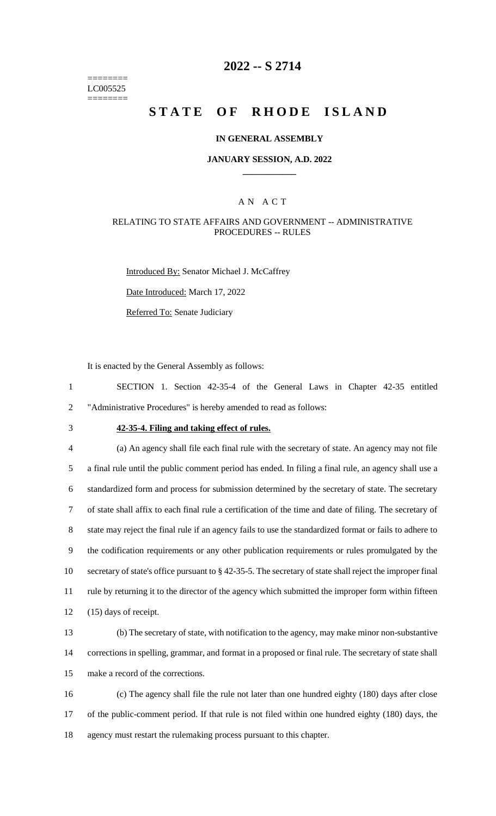======== LC005525 ========

## **2022 -- S 2714**

# **STATE OF RHODE ISLAND**

#### **IN GENERAL ASSEMBLY**

#### **JANUARY SESSION, A.D. 2022 \_\_\_\_\_\_\_\_\_\_\_\_**

### A N A C T

#### RELATING TO STATE AFFAIRS AND GOVERNMENT -- ADMINISTRATIVE PROCEDURES -- RULES

Introduced By: Senator Michael J. McCaffrey

Date Introduced: March 17, 2022

Referred To: Senate Judiciary

It is enacted by the General Assembly as follows:

1 SECTION 1. Section 42-35-4 of the General Laws in Chapter 42-35 entitled 2 "Administrative Procedures" is hereby amended to read as follows:

## 3 **42-35-4. Filing and taking effect of rules.**

 (a) An agency shall file each final rule with the secretary of state. An agency may not file a final rule until the public comment period has ended. In filing a final rule, an agency shall use a standardized form and process for submission determined by the secretary of state. The secretary of state shall affix to each final rule a certification of the time and date of filing. The secretary of state may reject the final rule if an agency fails to use the standardized format or fails to adhere to the codification requirements or any other publication requirements or rules promulgated by the secretary of state's office pursuant to § 42-35-5. The secretary of state shall reject the improper final rule by returning it to the director of the agency which submitted the improper form within fifteen (15) days of receipt.

13 (b) The secretary of state, with notification to the agency, may make minor non-substantive 14 corrections in spelling, grammar, and format in a proposed or final rule. The secretary of state shall 15 make a record of the corrections.

16 (c) The agency shall file the rule not later than one hundred eighty (180) days after close 17 of the public-comment period. If that rule is not filed within one hundred eighty (180) days, the 18 agency must restart the rulemaking process pursuant to this chapter.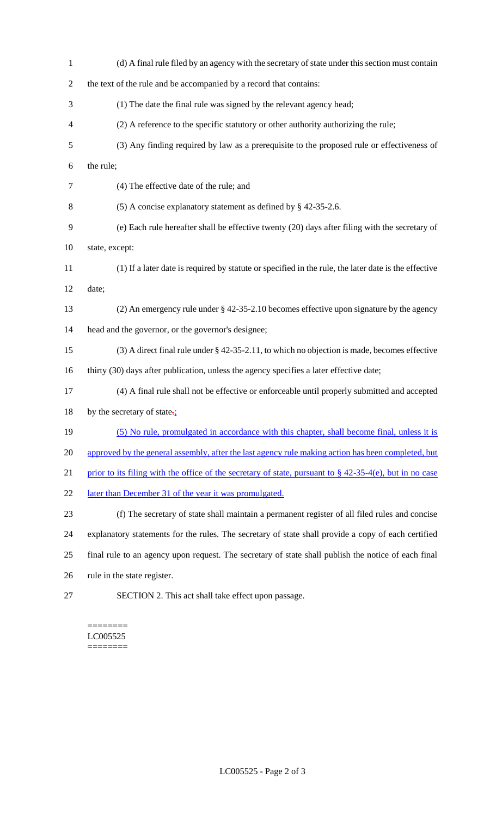| $\mathbf{1}$   | (d) A final rule filed by an agency with the secretary of state under this section must contain            |
|----------------|------------------------------------------------------------------------------------------------------------|
| $\overline{c}$ | the text of the rule and be accompanied by a record that contains:                                         |
| 3              | (1) The date the final rule was signed by the relevant agency head;                                        |
| 4              | (2) A reference to the specific statutory or other authority authorizing the rule;                         |
| 5              | (3) Any finding required by law as a prerequisite to the proposed rule or effectiveness of                 |
| 6              | the rule;                                                                                                  |
| $\tau$         | (4) The effective date of the rule; and                                                                    |
| $8\,$          | (5) A concise explanatory statement as defined by $\S$ 42-35-2.6.                                          |
| 9              | (e) Each rule hereafter shall be effective twenty (20) days after filing with the secretary of             |
| 10             | state, except:                                                                                             |
| 11             | (1) If a later date is required by statute or specified in the rule, the later date is the effective       |
| 12             | date;                                                                                                      |
| 13             | (2) An emergency rule under $\S$ 42-35-2.10 becomes effective upon signature by the agency                 |
| 14             | head and the governor, or the governor's designee;                                                         |
| 15             | $(3)$ A direct final rule under § 42-35-2.11, to which no objection is made, becomes effective             |
| 16             | thirty (30) days after publication, unless the agency specifies a later effective date;                    |
| 17             | (4) A final rule shall not be effective or enforceable until properly submitted and accepted               |
| 18             | by the secretary of state. $\frac{1}{2}$                                                                   |
| 19             | (5) No rule, promulgated in accordance with this chapter, shall become final, unless it is                 |
| 20             | approved by the general assembly, after the last agency rule making action has been completed, but         |
| 21             | prior to its filing with the office of the secretary of state, pursuant to $\S$ 42-35-4(e), but in no case |
| 22             | later than December 31 of the year it was promulgated.                                                     |
| 23             | (f) The secretary of state shall maintain a permanent register of all filed rules and concise              |
| 24             | explanatory statements for the rules. The secretary of state shall provide a copy of each certified        |
| 25             | final rule to an agency upon request. The secretary of state shall publish the notice of each final        |
| 26             | rule in the state register.                                                                                |
| 27             | SECTION 2. This act shall take effect upon passage.                                                        |

#### $=$ LC005525 ========